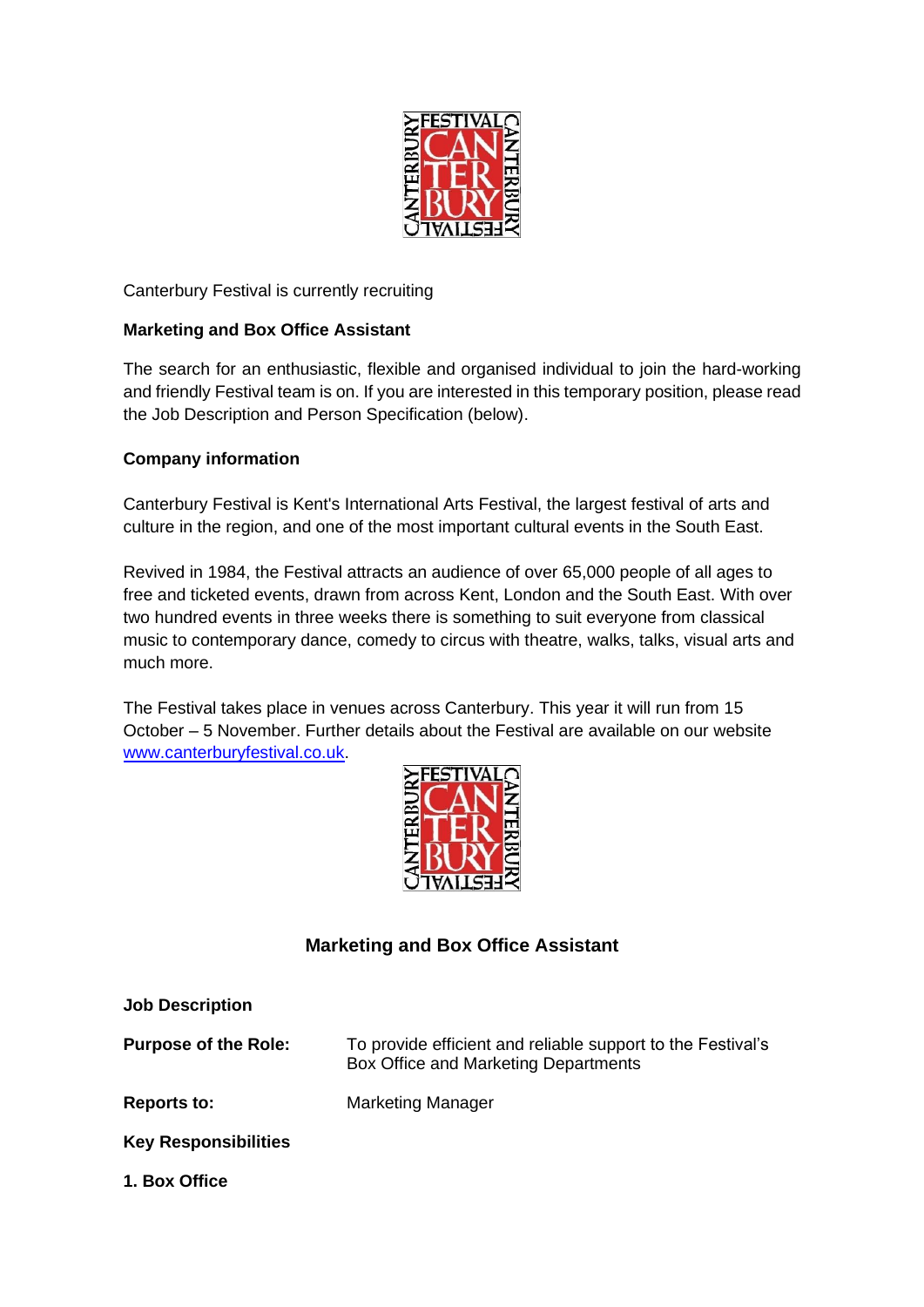

# Canterbury Festival is currently recruiting

## **Marketing and Box Office Assistant**

The search for an enthusiastic, flexible and organised individual to join the hard-working and friendly Festival team is on. If you are interested in this temporary position, please read the Job Description and Person Specification (below).

## **Company information**

Canterbury Festival is Kent's International Arts Festival, the largest festival of arts and culture in the region, and one of the most important cultural events in the South East.

Revived in 1984, the Festival attracts an audience of over 65,000 people of all ages to free and ticketed events, drawn from across Kent, London and the South East. With over two hundred events in three weeks there is something to suit everyone from classical music to contemporary dance, comedy to circus with theatre, walks, talks, visual arts and much more.

The Festival takes place in venues across Canterbury. This year it will run from 15 October – 5 November. Further details about the Festival are available on our website [www.canterburyfestival.co.uk.](http://www.canterburyfestival.co.uk/)



# **Marketing and Box Office Assistant**

| <b>Job Description</b>      |                                                                                                     |
|-----------------------------|-----------------------------------------------------------------------------------------------------|
| <b>Purpose of the Role:</b> | To provide efficient and reliable support to the Festival's<br>Box Office and Marketing Departments |
| <b>Reports to:</b>          | <b>Marketing Manager</b>                                                                            |
| <b>Key Responsibilities</b> |                                                                                                     |
| 1. Box Office               |                                                                                                     |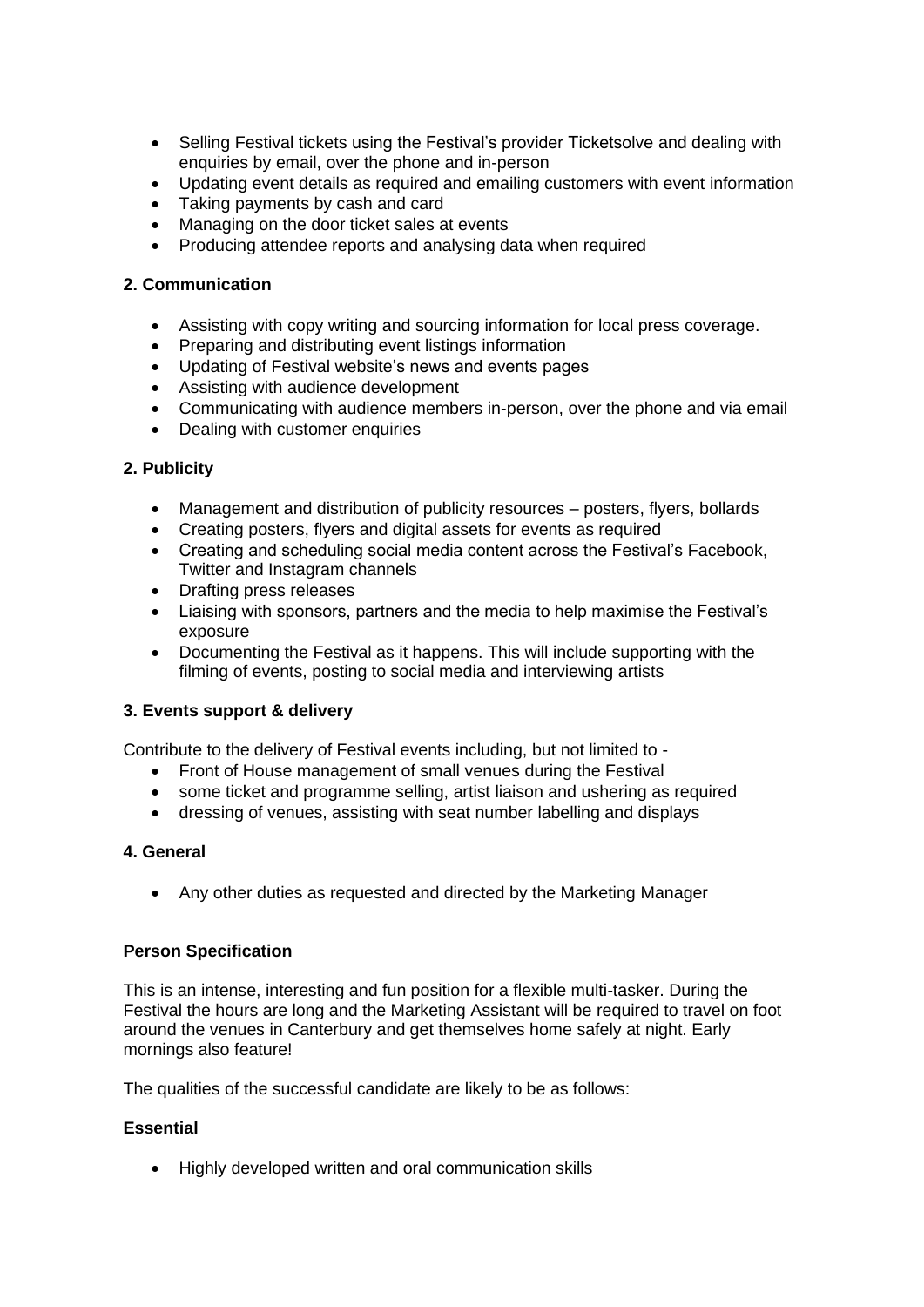- Selling Festival tickets using the Festival's provider Ticketsolve and dealing with enquiries by email, over the phone and in-person
- Updating event details as required and emailing customers with event information
- Taking payments by cash and card
- Managing on the door ticket sales at events
- Producing attendee reports and analysing data when required

#### **2. Communication**

- Assisting with copy writing and sourcing information for local press coverage.
- Preparing and distributing event listings information
- Updating of Festival website's news and events pages
- Assisting with audience development
- Communicating with audience members in-person, over the phone and via email
- Dealing with customer enquiries

#### **2. Publicity**

- Management and distribution of publicity resources posters, flyers, bollards
- Creating posters, flyers and digital assets for events as required
- Creating and scheduling social media content across the Festival's Facebook, Twitter and Instagram channels
- Drafting press releases
- Liaising with sponsors, partners and the media to help maximise the Festival's exposure
- Documenting the Festival as it happens. This will include supporting with the filming of events, posting to social media and interviewing artists

#### **3. Events support & delivery**

Contribute to the delivery of Festival events including, but not limited to -

- Front of House management of small venues during the Festival
- some ticket and programme selling, artist liaison and ushering as required
- dressing of venues, assisting with seat number labelling and displays

#### **4. General**

• Any other duties as requested and directed by the Marketing Manager

#### **Person Specification**

This is an intense, interesting and fun position for a flexible multi-tasker. During the Festival the hours are long and the Marketing Assistant will be required to travel on foot around the venues in Canterbury and get themselves home safely at night. Early mornings also feature!

The qualities of the successful candidate are likely to be as follows:

#### **Essential**

• Highly developed written and oral communication skills